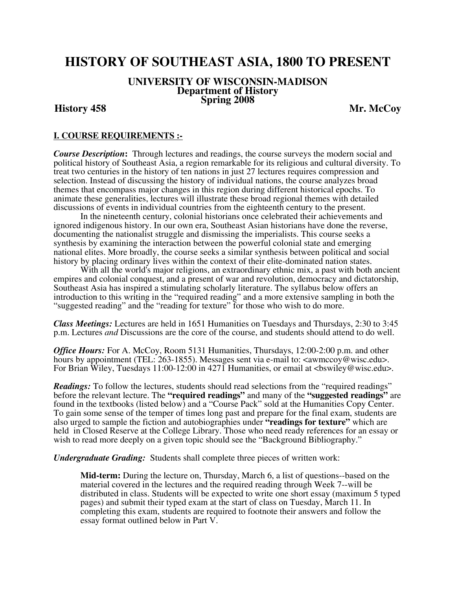# **HISTORY OF SOUTHEAST ASIA, 1800 TO PRESENT**

# **UNIVERSITY OF WISCONSIN-MADISON Department of History Spring 2008 History 458 Mr. McCoy**

# **I. COURSE REQUIREMENTS :-**

*Course Description***:** Through lectures and readings, the course surveys the modern social and political history of Southeast Asia, a region remarkable for its religious and cultural diversity. To treat two centuries in the history of ten nations in just 27 lectures requires compression and selection. Instead of discussing the history of individual nations, the course analyzes broad themes that encompass major changes in this region during different historical epochs. To animate these generalities, lectures will illustrate these broad regional themes with detailed discussions of events in individual countries from the eighteenth century to the present.

 In the nineteenth century, colonial historians once celebrated their achievements and ignored indigenous history. In our own era, Southeast Asian historians have done the reverse, documenting the nationalist struggle and dismissing the imperialists. This course seeks a synthesis by examining the interaction between the powerful colonial state and emerging national elites. More broadly, the course seeks a similar synthesis between political and social history by placing ordinary lives within the context of their elite-dominated nation states.

With all the world's major religions, an extraordinary ethnic mix, a past with both ancient empires and colonial conquest, and a present of war and revolution, democracy and dictatorship, Southeast Asia has inspired a stimulating scholarly literature. The syllabus below offers an introduction to this writing in the "required reading" and a more extensive sampling in both the "suggested reading" and the "reading for texture" for those who wish to do more.

*Class Meetings:* Lectures are held in 1651 Humanities on Tuesdays and Thursdays, 2:30 to 3:45 p.m. Lectures *and* Discussions are the core of the course, and students should attend to do well.

*Office Hours:* For A. McCoy, Room 5131 Humanities, Thursdays, 12:00-2:00 p.m. and other hours by appointment (TEL: 263-1855). Messages sent via e-mail to:  $\langle$  <awmccoy@wisc.edu>. For Brian Wiley, Tuesdays 11:00-12:00 in 4271 Humanities, or email at <br/>shamiley@wisc.edu>.

*Readings:* To follow the lectures, students should read selections from the "required readings" before the relevant lecture. The **"required readings"** and many of the **"suggested readings"** are found in the textbooks (listed below) and a "Course Pack" sold at the Humanities Copy Center. To gain some sense of the temper of times long past and prepare for the final exam, students are also urged to sample the fiction and autobiographies under **"readings for texture"** which are held in Closed Reserve at the College Library. Those who need ready references for an essay or wish to read more deeply on a given topic should see the "Background Bibliography."

*Undergraduate Grading:* Students shall complete three pieces of written work:

**Mid-term:** During the lecture on, Thursday, March 6, a list of questions--based on the material covered in the lectures and the required reading through Week 7--will be distributed in class. Students will be expected to write one short essay (maximum 5 typed pages) and submit their typed exam at the start of class on Tuesday, March 11. In completing this exam, students are required to footnote their answers and follow the essay format outlined below in Part V.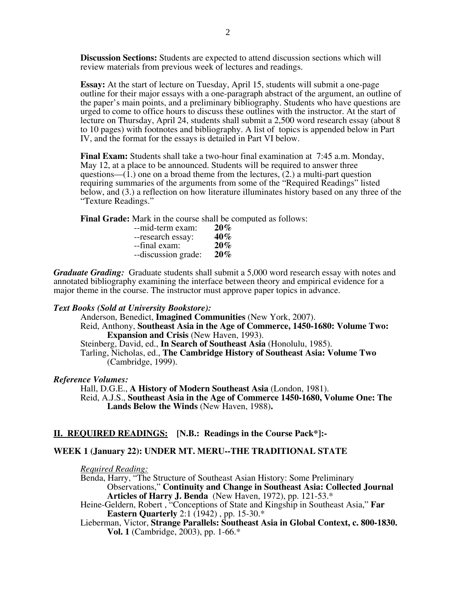**Discussion Sections:** Students are expected to attend discussion sections which will review materials from previous week of lectures and readings.

**Essay:** At the start of lecture on Tuesday, April 15, students will submit a one-page outline for their major essays with a one-paragraph abstract of the argument, an outline of the paper's main points, and a preliminary bibliography. Students who have questions are urged to come to office hours to discuss these outlines with the instructor. At the start of lecture on Thursday, April 24, students shall submit a 2,500 word research essay (about 8 to 10 pages) with footnotes and bibliography. A list of topics is appended below in Part IV, and the format for the essays is detailed in Part VI below.

**Final Exam:** Students shall take a two-hour final examination at 7:45 a.m. Monday, May 12, at a place to be announced. Students will be required to answer three questions— $(1)$  one on a broad theme from the lectures,  $(2)$  a multi-part question requiring summaries of the arguments from some of the "Required Readings" listed below, and (3.) a reflection on how literature illuminates history based on any three of the "Texture Readings."

**Final Grade:** Mark in the course shall be computed as follows:

| --mid-term exam:    | $20\%$ |
|---------------------|--------|
| --research essay:   | 40%    |
| --final exam:       | $20\%$ |
| --discussion grade: | $20\%$ |

*Graduate Grading:* Graduate students shall submit a 5,000 word research essay with notes and annotated bibliography examining the interface between theory and empirical evidence for a major theme in the course. The instructor must approve paper topics in advance.

# *Text Books (Sold at University Bookstore):*

Anderson, Benedict, **Imagined Communities** (New York, 2007). Reid, Anthony, **Southeast Asia in the Age of Commerce, 1450-1680: Volume Two: Expansion and Crisis** (New Haven, 1993). Steinberg, David, ed., **In Search of Southeast Asia** (Honolulu, 1985). Tarling, Nicholas, ed., **The Cambridge History of Southeast Asia: Volume Two**  (Cambridge, 1999).

# *Reference Volumes:*

Hall, D.G.E., **A History of Modern Southeast Asia** (London, 1981). Reid, A.J.S., **Southeast Asia in the Age of Commerce 1450-1680, Volume One: The Lands Below the Winds** (New Haven, 1988)**.** 

# **II. REQUIRED READINGS: [N.B.: Readings in the Course Pack\*]:-**

# **WEEK 1 (January 22): UNDER MT. MERU--THE TRADITIONAL STATE**

*Required Reading:*

Benda, Harry, "The Structure of Southeast Asian History: Some Preliminary Observations," **Continuity and Change in Southeast Asia: Collected Journal Articles of Harry J. Benda** (New Haven, 1972), pp. 121-53.\*

- Heine-Geldern, Robert , "Conceptions of State and Kingship in Southeast Asia," **Far Eastern Quarterly** 2:1 (1942) , pp. 15-30.\*
- Lieberman, Victor, **Strange Parallels: Southeast Asia in Global Context, c. 800-1830. Vol. 1** (Cambridge, 2003), pp. 1-66.\*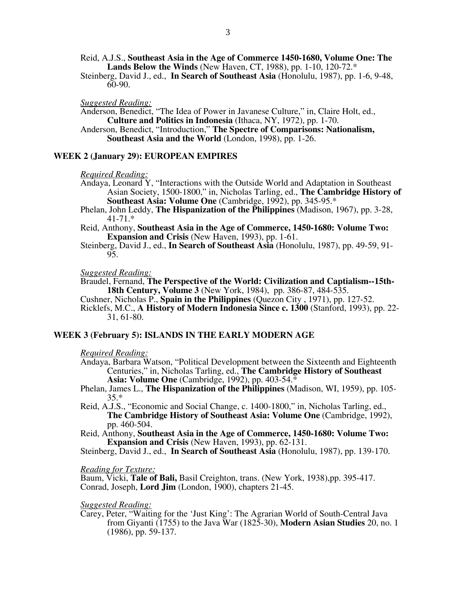Reid, A.J.S., **Southeast Asia in the Age of Commerce 1450-1680, Volume One: The Lands Below the Winds** (New Haven, CT, 1988), pp. 1-10, 120-72.\*

Steinberg, David J., ed., **In Search of Southeast Asia** (Honolulu, 1987), pp. 1-6, 9-48, 60-90.

*Suggested Reading:* 

Anderson, Benedict, "The Idea of Power in Javanese Culture," in, Claire Holt, ed., **Culture and Politics in Indonesia** (Ithaca, NY, 1972), pp. 1-70.

Anderson, Benedict, "Introduction," **The Spectre of Comparisons: Nationalism, Southeast Asia and the World** (London, 1998), pp. 1-26.

#### **WEEK 2 (January 29): EUROPEAN EMPIRES**

*Required Reading:*

- Andaya, Leonard Y, "Interactions with the Outside World and Adaptation in Southeast Asian Society, 1500-1800," in, Nicholas Tarling, ed., **The Cambridge History of Southeast Asia: Volume One** (Cambridge, 1992), pp. 345-95.\*
- Phelan, John Leddy, **The Hispanization of the Philippines** (Madison, 1967), pp. 3-28, 41-71.\*

Reid, Anthony, **Southeast Asia in the Age of Commerce, 1450-1680: Volume Two: Expansion and Crisis** (New Haven, 1993), pp. 1-61.

Steinberg, David J., ed., **In Search of Southeast Asia** (Honolulu, 1987), pp. 49-59, 91- 95.

*Suggested Reading:* 

Braudel, Fernand, **The Perspective of the World: Civilization and Captialism--15th-18th Century, Volume 3** (New York, 1984), pp. 386-87, 484-535.

Cushner, Nicholas P., **Spain in the Philippines** (Quezon City , 1971), pp. 127-52. Ricklefs, M.C., **A History of Modern Indonesia Since c. 1300** (Stanford, 1993), pp. 22- 31, 61-80.

#### **WEEK 3 (February 5): ISLANDS IN THE EARLY MODERN AGE**

*Required Reading:*

Andaya, Barbara Watson, "Political Development between the Sixteenth and Eighteenth Centuries," in, Nicholas Tarling, ed., **The Cambridge History of Southeast Asia: Volume One** (Cambridge, 1992), pp. 403-54.\*

Phelan, James L., **The Hispanization of the Philippines** (Madison, WI, 1959), pp. 105- 35.\*

Reid, A.J.S., "Economic and Social Change, c. 1400-1800," in, Nicholas Tarling, ed., **The Cambridge History of Southeast Asia: Volume One** (Cambridge, 1992), pp. 460-504.

Reid, Anthony, **Southeast Asia in the Age of Commerce, 1450-1680: Volume Two: Expansion and Crisis** (New Haven, 1993), pp. 62-131.

Steinberg, David J., ed., **In Search of Southeast Asia** (Honolulu, 1987), pp. 139-170.

*Reading for Texture:* 

Baum, Vicki, **Tale of Bali,** Basil Creighton, trans. (New York, 1938),pp. 395-417. Conrad, Joseph, **Lord Jim** (London, 1900), chapters 21-45.

*Suggested Reading:* 

Carey, Peter, "Waiting for the 'Just King': The Agrarian World of South-Central Java from Giyanti (1755) to the Java War (1825-30), **Modern Asian Studies** 20, no. 1 (1986), pp. 59-137.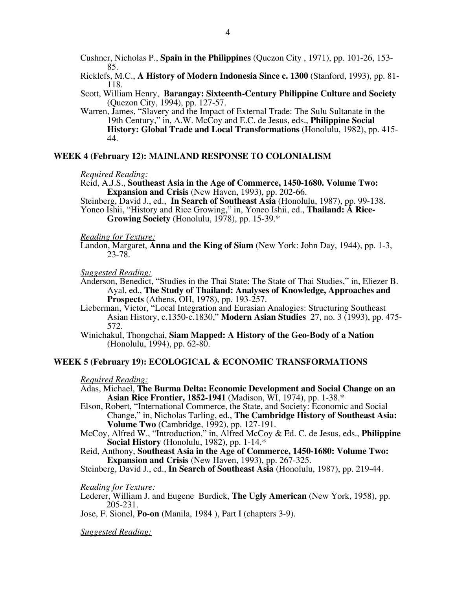Cushner, Nicholas P., **Spain in the Philippines** (Quezon City , 1971), pp. 101-26, 153- 85.

Ricklefs, M.C., **A History of Modern Indonesia Since c. 1300** (Stanford, 1993), pp. 81- 118.

Scott, William Henry, **Barangay: Sixteenth-Century Philippine Culture and Society** (Quezon City, 1994), pp. 127-57.

Warren, James, "Slavery and the Impact of External Trade: The Sulu Sultanate in the 19th Century," in, A.W. McCoy and E.C. de Jesus, eds., **Philippine Social History: Global Trade and Local Transformations** (Honolulu, 1982), pp. 415- 44.

## **WEEK 4 (February 12): MAINLAND RESPONSE TO COLONIALISM**

#### *Required Reading:*

Reid, A.J.S., **Southeast Asia in the Age of Commerce, 1450-1680. Volume Two: Expansion and Crisis** (New Haven, 1993), pp. 202-66.

Steinberg, David J., ed., **In Search of Southeast Asia** (Honolulu, 1987), pp. 99-138. Yoneo Ishii, "History and Rice Growing," in, Yoneo Ishii, ed., **Thailand: A Rice-**

**Growing Society** (Honolulu, 1978), pp. 15-39.\*

#### *Reading for Texture:*

Landon, Margaret, **Anna and the King of Siam** (New York: John Day, 1944), pp. 1-3, 23-78.

*Suggested Reading:* 

- Anderson, Benedict, "Studies in the Thai State: The State of Thai Studies," in, Eliezer B. Ayal, ed., **The Study of Thailand: Analyses of Knowledge, Approaches and Prospects** (Athens, OH, 1978), pp. 193-257.
- Lieberman, Victor, "Local Integration and Eurasian Analogies: Structuring Southeast Asian History, c.1350-c.1830," **Modern Asian Studies** 27, no. 3 (1993), pp. 475- 572.
- Winichakul, Thongchai, **Siam Mapped: A History of the Geo-Body of a Nation** (Honolulu, 1994), pp. 62-80.

# **WEEK 5 (February 19): ECOLOGICAL & ECONOMIC TRANSFORMATIONS**

#### *Required Reading:*

- Adas, Michael, **The Burma Delta: Economic Development and Social Change on an Asian Rice Frontier, 1852-1941** (Madison, WI, 1974), pp. 1-38.\*
- Elson, Robert, "International Commerce, the State, and Society: Economic and Social Change," in, Nicholas Tarling, ed., **The Cambridge History of Southeast Asia: Volume Two** (Cambridge, 1992), pp. 127-191.
- McCoy, Alfred W., "Introduction," in, Alfred McCoy & Ed. C. de Jesus, eds., **Philippine Social History** (Honolulu, 1982), pp. 1-14.\*
- Reid, Anthony, **Southeast Asia in the Age of Commerce, 1450-1680: Volume Two: Expansion and Crisis** (New Haven, 1993), pp. 267-325.

Steinberg, David J., ed., **In Search of Southeast Asia** (Honolulu, 1987), pp. 219-44.

### *Reading for Texture:*

Lederer, William J. and Eugene Burdick, **The Ugly American** (New York, 1958), pp. 205-231.

Jose, F. Sionel, **Po-on** (Manila, 1984 ), Part I (chapters 3-9).

*Suggested Reading:*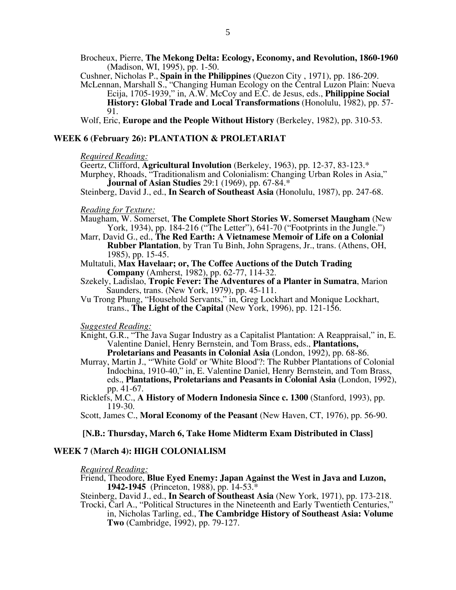Brocheux, Pierre, **The Mekong Delta: Ecology, Economy, and Revolution, 1860-1960** (Madison, WI, 1995), pp. 1-50.

Cushner, Nicholas P., **Spain in the Philippines** (Quezon City , 1971), pp. 186-209.

McLennan, Marshall S., "Changing Human Ecology on the Central Luzon Plain: Nueva Ecija, 1705-1939," in, A.W. McCoy and E.C. de Jesus, eds., **Philippine Social History: Global Trade and Local Transformations** (Honolulu, 1982), pp. 57-91.

Wolf, Eric, **Europe and the People Without History** (Berkeley, 1982), pp. 310-53.

#### **WEEK 6 (February 26): PLANTATION & PROLETARIAT**

#### *Required Reading:*

Geertz, Clifford, **Agricultural Involution** (Berkeley, 1963), pp. 12-37, 83-123.\* Murphey, Rhoads, "Traditionalism and Colonialism: Changing Urban Roles in Asia,"

**Journal of Asian Studies** 29:1 (1969), pp. 67-84.\*

Steinberg, David J., ed., **In Search of Southeast Asia** (Honolulu, 1987), pp. 247-68.

#### *Reading for Texture:*

Maugham, W. Somerset, **The Complete Short Stories W. Somerset Maugham** (New York, 1934), pp. 184-216 ("The Letter"), 641-70 ("Footprints in the Jungle.")

- Marr, David G., ed., **The Red Earth: A Vietnamese Memoir of Life on a Colonial Rubber Plantation**, by Tran Tu Binh, John Spragens, Jr., trans. (Athens, OH, 1985), pp. 15-45.
- Multatuli, **Max Havelaar; or, The Coffee Auctions of the Dutch Trading Company** (Amherst, 1982), pp. 62-77, 114-32.
- Szekely, Ladislao, **Tropic Fever: The Adventures of a Planter in Sumatra**, Marion Saunders, trans. (New York, 1979), pp. 45-111.
- Vu Trong Phung, "Household Servants," in, Greg Lockhart and Monique Lockhart, trans., **The Light of the Capital** (New York, 1996), pp. 121-156.

#### *Suggested Reading:*

- Knight, G.R., "The Java Sugar Industry as a Capitalist Plantation: A Reappraisal," in, E. Valentine Daniel, Henry Bernstein, and Tom Brass, eds., **Plantations, Proletarians and Peasants in Colonial Asia** (London, 1992), pp. 68-86.
- Murray, Martin J., "'White Gold' or 'White Blood'?: The Rubber Plantations of Colonial Indochina, 1910-40," in, E. Valentine Daniel, Henry Bernstein, and Tom Brass, eds., **Plantations, Proletarians and Peasants in Colonial Asia** (London, 1992), pp. 41-67.
- Ricklefs, M.C., **A History of Modern Indonesia Since c. 1300** (Stanford, 1993), pp. 119-30.

Scott, James C., **Moral Economy of the Peasant** (New Haven, CT, 1976), pp. 56-90.

#### **[N.B.: Thursday, March 6, Take Home Midterm Exam Distributed in Class]**

#### **WEEK 7 (March 4): HIGH COLONIALISM**

#### *Required Reading:*

Friend, Theodore, **Blue Eyed Enemy: Japan Against the West in Java and Luzon, 1942-1945** (Princeton, 1988), pp. 14-53.\*

Steinberg, David J., ed., **In Search of Southeast Asia** (New York, 1971), pp. 173-218. Trocki, Carl A., "Political Structures in the Nineteenth and Early Twentieth Centuries,"

in, Nicholas Tarling, ed., **The Cambridge History of Southeast Asia: Volume Two** (Cambridge, 1992), pp. 79-127.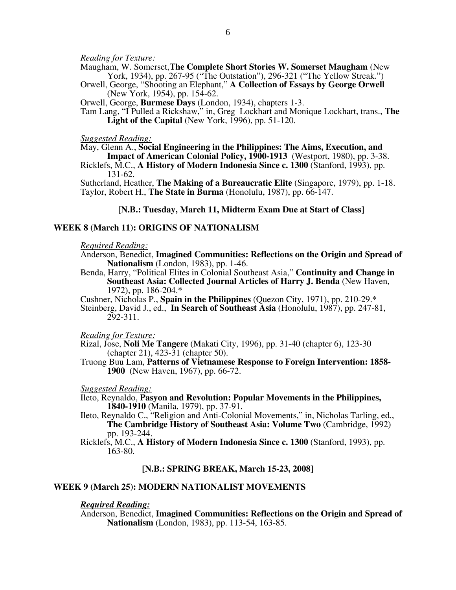*Reading for Texture:* 

Maugham, W. Somerset,**The Complete Short Stories W. Somerset Maugham** (New York, 1934), pp. 267-95 ("The Outstation"), 296-321 ("The Yellow Streak.")

Orwell, George, "Shooting an Elephant," **A Collection of Essays by George Orwell** (New York, 1954), pp. 154-62.

Orwell, George, **Burmese Days** (London, 1934), chapters 1-3.

Tam Lang, "I Pulled a Rickshaw," in, Greg Lockhart and Monique Lockhart, trans., **The Light of the Capital** (New York, 1996), pp. 51-120.

#### *Suggested Reading:*

May, Glenn A., **Social Engineering in the Philippines: The Aims, Execution, and** 

**Impact of American Colonial Policy, 1900-1913** (Westport, 1980), pp. 3-38. Ricklefs, M.C., **A History of Modern Indonesia Since c. 1300** (Stanford, 1993), pp. 131-62.

Sutherland, Heather, **The Making of a Bureaucratic Elite** (Singapore, 1979), pp. 1-18. Taylor, Robert H., **The State in Burma** (Honolulu, 1987), pp. 66-147.

### **[N.B.: Tuesday, March 11, Midterm Exam Due at Start of Class]**

#### **WEEK 8 (March 11): ORIGINS OF NATIONALISM**

*Required Reading:*

Anderson, Benedict, **Imagined Communities: Reflections on the Origin and Spread of Nationalism** (London, 1983), pp. 1-46.

Benda, Harry, "Political Elites in Colonial Southeast Asia," **Continuity and Change in Southeast Asia: Collected Journal Articles of Harry J. Benda** (New Haven, 1972), pp. 186-204.\*

Cushner, Nicholas P., **Spain in the Philippines** (Quezon City, 1971), pp. 210-29.\*

Steinberg, David J., ed., **In Search of Southeast Asia** (Honolulu, 1987), pp. 247-81, 292-311.

*Reading for Texture:*

Rizal, Jose, **Noli Me Tangere** (Makati City, 1996), pp. 31-40 (chapter 6), 123-30 (chapter 21), 423-31 (chapter 50).

Truong Buu Lam, **Patterns of Vietnamese Response to Foreign Intervention: 1858- 1900** (New Haven, 1967), pp. 66-72.

*Suggested Reading:* 

Ileto, Reynaldo, **Pasyon and Revolution: Popular Movements in the Philippines, 1840-1910** (Manila, 1979), pp. 37-91.

Ileto, Reynaldo C., "Religion and Anti-Colonial Movements," in, Nicholas Tarling, ed., **The Cambridge History of Southeast Asia: Volume Two** (Cambridge, 1992) pp. 193-244.

Ricklefs, M.C., **A History of Modern Indonesia Since c. 1300** (Stanford, 1993), pp. 163-80.

#### **[N.B.: SPRING BREAK, March 15-23, 2008]**

### **WEEK 9 (March 25): MODERN NATIONALIST MOVEMENTS**

#### *Required Reading:*

Anderson, Benedict, **Imagined Communities: Reflections on the Origin and Spread of Nationalism** (London, 1983), pp. 113-54, 163-85.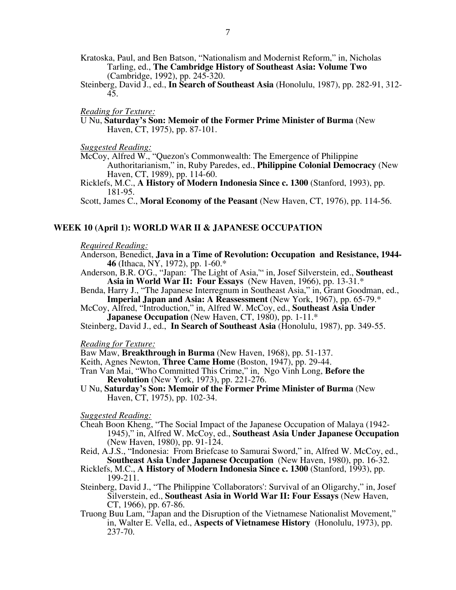- Kratoska, Paul, and Ben Batson, "Nationalism and Modernist Reform," in, Nicholas Tarling, ed., **The Cambridge History of Southeast Asia: Volume Two**  (Cambridge, 1992), pp. 245-320.
- Steinberg, David J., ed., **In Search of Southeast Asia** (Honolulu, 1987), pp. 282-91, 312- 45.

### *Reading for Texture:*

U Nu, **Saturday's Son: Memoir of the Former Prime Minister of Burma** (New Haven, CT, 1975), pp. 87-101.

*Suggested Reading:*

- McCoy, Alfred W., "Quezon's Commonwealth: The Emergence of Philippine Authoritarianism," in, Ruby Paredes, ed., **Philippine Colonial Democracy** (New Haven, CT, 1989), pp. 114-60.
- Ricklefs, M.C., **A History of Modern Indonesia Since c. 1300** (Stanford, 1993), pp. 181-95.

Scott, James C., **Moral Economy of the Peasant** (New Haven, CT, 1976), pp. 114-56.

#### **WEEK 10 (April 1): WORLD WAR II & JAPANESE OCCUPATION**

#### *Required Reading:*

- Anderson, Benedict, **Java in a Time of Revolution: Occupation and Resistance, 1944- 46** (Ithaca, NY, 1972), pp. 1-60.\*
- Anderson, B.R. O'G., "Japan: 'The Light of Asia,'" in, Josef Silverstein, ed., **Southeast Asia in World War II: Four Essays** (New Haven, 1966), pp. 13-31.\*
- Benda, Harry J., "The Japanese Interregnum in Southeast Asia," in, Grant Goodman, ed., **Imperial Japan and Asia: A Reassessment** (New York, 1967), pp. 65-79.\*
- McCoy, Alfred, "Introduction," in, Alfred W. McCoy, ed., **Southeast Asia Under Japanese Occupation** (New Haven, CT, 1980), pp. 1-11.<sup>\*</sup>

Steinberg, David J., ed., **In Search of Southeast Asia** (Honolulu, 1987), pp. 349-55.

#### *Reading for Texture:*

Baw Maw, **Breakthrough in Burma** (New Haven, 1968), pp. 51-137.

- Keith, Agnes Newton, **Three Came Home** (Boston, 1947), pp. 29-44.
- Tran Van Mai, "Who Committed This Crime," in, Ngo Vinh Long, **Before the Revolution** (New York, 1973), pp. 221-276.
- U Nu, **Saturday's Son: Memoir of the Former Prime Minister of Burma** (New Haven, CT, 1975), pp. 102-34.

*Suggested Reading:* 

- Cheah Boon Kheng, "The Social Impact of the Japanese Occupation of Malaya (1942- 1945)," in, Alfred W. McCoy, ed., **Southeast Asia Under Japanese Occupation** (New Haven, 1980), pp. 91-124.
- Reid, A.J.S., "Indonesia: From Briefcase to Samurai Sword," in, Alfred W. McCoy, ed., **Southeast Asia Under Japanese Occupation** (New Haven, 1980), pp. 16-32.
- Ricklefs, M.C., **A History of Modern Indonesia Since c. 1300** (Stanford, 1993), pp. 199-211.
- Steinberg, David J., "The Philippine 'Collaborators': Survival of an Oligarchy," in, Josef Silverstein, ed., **Southeast Asia in World War II: Four Essays** (New Haven, CT, 1966), pp. 67-86.
- Truong Buu Lam, "Japan and the Disruption of the Vietnamese Nationalist Movement," in, Walter E. Vella, ed., **Aspects of Vietnamese History**(Honolulu, 1973), pp. 237-70.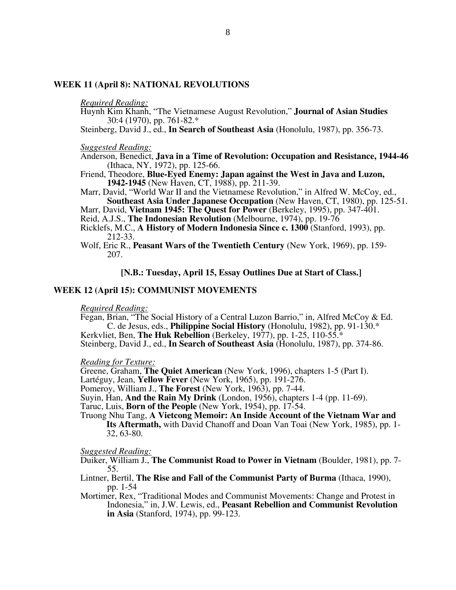#### **WEEK 11 (April 8): NATIONAL REVOLUTIONS**

#### *Required Reading:*

- Huynh Kim Khanh, "The Vietnamese August Revolution," **Journal of Asian Studies**  30:4 (1970), pp. 761-82.\*
- Steinberg, David J., ed., **In Search of Southeast Asia** (Honolulu, 1987), pp. 356-73.

*Suggested Reading:* 

- Anderson, Benedict, **Java in a Time of Revolution: Occupation and Resistance, 1944-46**  (Ithaca, NY, 1972), pp. 125-66.
- Friend, Theodore, **Blue-Eyed Enemy: Japan against the West in Java and Luzon, 1942-1945** (New Haven, CT, 1988), pp. 211-39.
- Marr, David, "World War II and the Vietnamese Revolution," in Alfred W. McCoy, ed., **Southeast Asia Under Japanese Occupation** (New Haven, CT, 1980), pp. 125-51.
- Marr, David, **Vietnam 1945: The Quest for Power** (Berkeley, 1995), pp. 347-401.
- Reid, A.J.S., **The Indonesian Revolution** (Melbourne, 1974), pp. 19-76
- Ricklefs, M.C., **A History of Modern Indonesia Since c. 1300** (Stanford, 1993), pp. 212-33.
- Wolf, Eric R., **Peasant Wars of the Twentieth Century** (New York, 1969), pp. 159- 207.

# **[N.B.: Tuesday, April 15, Essay Outlines Due at Start of Class.]**

#### **WEEK 12 (April 15): COMMUNIST MOVEMENTS**

#### *Required Reading:*

Fegan, Brian, "The Social History of a Central Luzon Barrio," in, Alfred McCoy & Ed. C. de Jesus, eds., **Philippine Social History** (Honolulu, 1982), pp. 91-130.\* Kerkvliet, Ben, **The Huk Rebellion** (Berkeley, 1977), pp. 1-25, 110-55.\*

Steinberg, David J., ed., **In Search of Southeast Asia** (Honolulu, 1987), pp. 374-86.

#### *Reading for Texture:*

Greene, Graham, **The Quiet American** (New York, 1996), chapters 1-5 (Part I).

Lartéguy, Jean, **Yellow Fever** (New York, 1965), pp. 191-276.

Pomeroy, William J., **The Forest** (New York, 1963), pp. 7-44.

Suyin, Han, **And the Rain My Drink** (London, 1956), chapters 1-4 (pp. 11-69).

Taruc, Luis, **Born of the People** (New York, 1954), pp. 17-54.

#### Truong Nhu Tang, **A Vietcong Memoir: An Inside Account of the Vietnam War and**

**Its Aftermath,** with David Chanoff and Doan Van Toai (New York, 1985), pp. 1- 32, 63-80.

*Suggested Reading:*

Duiker, William J., **The Communist Road to Power in Vietnam** (Boulder, 1981), pp. 7- 55.

Lintner, Bertil, **The Rise and Fall of the Communist Party of Burma** (Ithaca, 1990), pp. 1-54

Mortimer, Rex, "Traditional Modes and Communist Movements: Change and Protest in Indonesia," in, J.W. Lewis, ed., **Peasant Rebellion and Communist Revolution in Asia** (Stanford, 1974), pp. 99-123.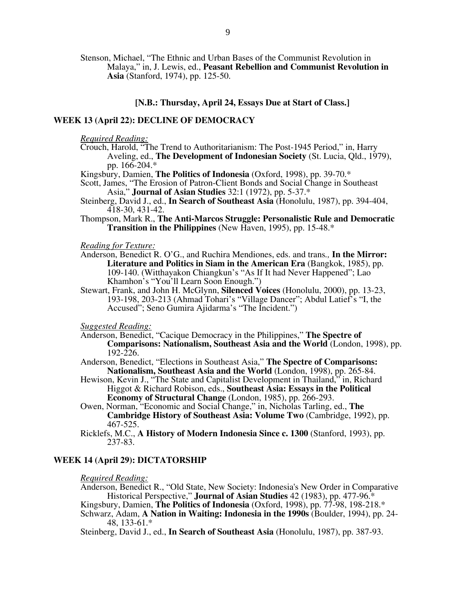Stenson, Michael, "The Ethnic and Urban Bases of the Communist Revolution in Malaya," in, J. Lewis, ed., **Peasant Rebellion and Communist Revolution in Asia** (Stanford, 1974), pp. 125-50.

# **[N.B.: Thursday, April 24, Essays Due at Start of Class.]**

# **WEEK 13 (April 22): DECLINE OF DEMOCRACY**

*Required Reading:*

Crouch, Harold, "The Trend to Authoritarianism: The Post-1945 Period," in, Harry Aveling, ed., **The Development of Indonesian Society** (St. Lucia, Qld., 1979), pp. 166-204.\*

Kingsbury, Damien, **The Politics of Indonesia** (Oxford, 1998), pp. 39-70.\*

Scott, James, "The Erosion of Patron-Client Bonds and Social Change in Southeast Asia," **Journal of Asian Studies** 32:1 (1972), pp. 5-37.\*

- Steinberg, David J., ed., **In Search of Southeast Asia** (Honolulu, 1987), pp. 394-404, 418-30, 431-42.
- Thompson, Mark R., **The Anti-Marcos Struggle: Personalistic Rule and Democratic Transition in the Philippines** (New Haven, 1995), pp. 15-48.\*

*Reading for Texture:*

- Anderson, Benedict R. O'G., and Ruchira Mendiones, eds. and trans*.,* **In the Mirror: Literature and Politics in Siam in the American Era** (Bangkok, 1985), pp. 109-140. (Witthayakon Chiangkun's "As If It had Never Happened"; Lao Khamhon's "You'll Learn Soon Enough.")
- Stewart, Frank, and John H. McGlynn, **Silenced Voices** (Honolulu, 2000), pp. 13-23, 193-198, 203-213 (Ahmad Tohari's "Village Dancer"; Abdul Latief's "I, the Accused"; Seno Gumira Ajidarma's "The Incident.")

*Suggested Reading:* 

- Anderson, Benedict, "Cacique Democracy in the Philippines," **The Spectre of Comparisons: Nationalism, Southeast Asia and the World** (London, 1998), pp.  $192 - 226$ .
- Anderson, Benedict, "Elections in Southeast Asia," **The Spectre of Comparisons: Nationalism, Southeast Asia and the World** (London, 1998), pp. 265-84.
- Hewison, Kevin J., "The State and Capitalist Development in Thailand," in, Richard Higgot & Richard Robison, eds., **Southeast Asia: Essays in the Political Economy of Structural Change** (London, 1985), pp. 266-293.
- Owen, Norman, "Economic and Social Change," in, Nicholas Tarling, ed., **The Cambridge History of Southeast Asia: Volume Two** (Cambridge, 1992), pp. 467-525.
- Ricklefs, M.C., **A History of Modern Indonesia Since c. 1300** (Stanford, 1993), pp. 237-83.

#### **WEEK 14 (April 29): DICTATORSHIP**

*Required Reading:*

Anderson, Benedict R., "Old State, New Society: Indonesia's New Order in Comparative Historical Perspective," **Journal of Asian Studies** 42 (1983), pp. 477-96.\*

Kingsbury, Damien, **The Politics of Indonesia** (Oxford, 1998), pp. 77-98, 198-218.\*

Schwarz, Adam, **A Nation in Waiting: Indonesia in the 1990s** (Boulder, 1994), pp. 24- 48, 133-61.\*

Steinberg, David J., ed., **In Search of Southeast Asia** (Honolulu, 1987), pp. 387-93.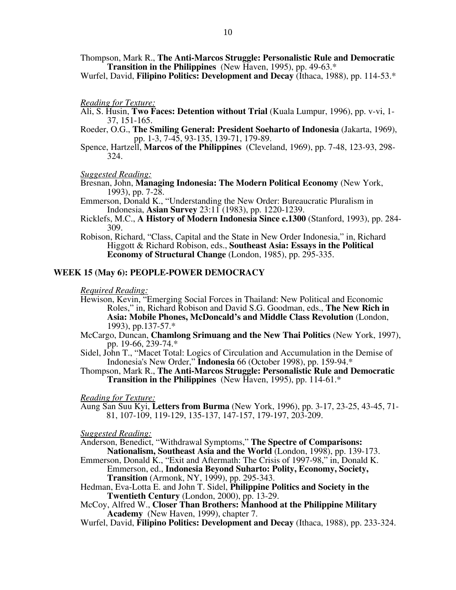Thompson, Mark R., **The Anti-Marcos Struggle: Personalistic Rule and Democratic Transition in the Philippines** (New Haven, 1995), pp. 49-63.\*

Wurfel, David, **Filipino Politics: Development and Decay** (Ithaca, 1988), pp. 114-53.\*

#### *Reading for Texture:*

- Ali, S. Husin, **Two Faces: Detention without Trial** (Kuala Lumpur, 1996), pp. v-vi, 1- 37, 151-165.
- Roeder, O.G., **The Smiling General: President Soeharto of Indonesia** (Jakarta, 1969), pp. 1-3, 7-45, 93-135, 139-71, 179-89.
- Spence, Hartzell, **Marcos of the Philippines** (Cleveland, 1969), pp. 7-48, 123-93, 298- 324.

#### *Suggested Reading:*

Bresnan, John, **Managing Indonesia: The Modern Political Economy** (New York, 1993), pp. 7-28.

Emmerson, Donald K., "Understanding the New Order: Bureaucratic Pluralism in Indonesia, **Asian Survey** 23:11 (1983), pp. 1220-1239.

- Ricklefs, M.C., **A History of Modern Indonesia Since c.1300** (Stanford, 1993), pp. 284- 309.
- Robison, Richard, "Class, Capital and the State in New Order Indonesia," in, Richard Higgott & Richard Robison, eds., **Southeast Asia: Essays in the Political Economy of Structural Change** (London, 1985), pp. 295-335.

## **WEEK 15 (May 6): PEOPLE-POWER DEMOCRACY**

# *Required Reading:*

- Hewison, Kevin, "Emerging Social Forces in Thailand: New Political and Economic Roles," in, Richard Robison and David S.G. Goodman, eds., **The New Rich in Asia: Mobile Phones, McDoncald's and Middle Class Revolution** (London, 1993), pp.137-57.\*
- McCargo, Duncan, **Chamlong Srimuang and the New Thai Politics** (New York, 1997), pp. 19-66, 239-74.\*
- Sidel, John T., "Macet Total: Logics of Circulation and Accumulation in the Demise of Indonesia's New Order," **Indonesia** 66 (October 1998), pp. 159-94.\*
- Thompson, Mark R., **The Anti-Marcos Struggle: Personalistic Rule and Democratic Transition in the Philippines** (New Haven, 1995), pp. 114-61.\*

#### *Reading for Texture:*

Aung San Suu Kyi, **Letters from Burma** (New York, 1996), pp. 3-17, 23-25, 43-45, 71- 81, 107-109, 119-129, 135-137, 147-157, 179-197, 203-209.

#### *Suggested Reading:*

Anderson, Benedict, "Withdrawal Symptoms," **The Spectre of Comparisons: Nationalism, Southeast Asia and the World** (London, 1998), pp. 139-173.

- Emmerson, Donald K., "Exit and Aftermath: The Crisis of 1997-98," in, Donald K. Emmerson, ed., **Indonesia Beyond Suharto: Polity, Economy, Society, Transition** (Armonk, NY, 1999), pp. 295-343.
- Hedman, Eva-Lotta E. and John T. Sidel, **Philippine Politics and Society in the Twentieth Century** (London, 2000), pp. 13-29.
- McCoy, Alfred W., **Closer Than Brothers: Manhood at the Philippine Military Academy** (New Haven, 1999), chapter 7.
- Wurfel, David, **Filipino Politics: Development and Decay** (Ithaca, 1988), pp. 233-324.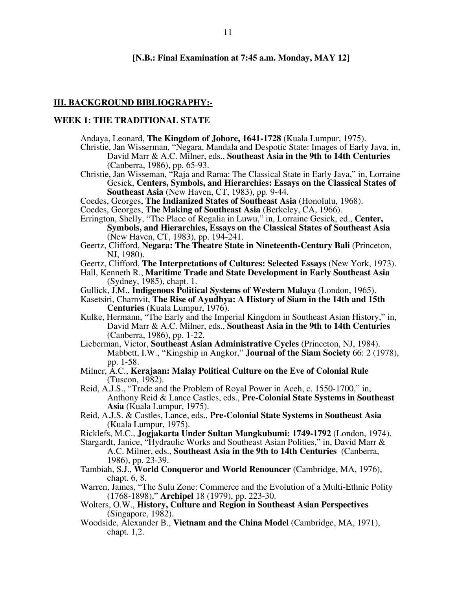#### **[N.B.: Final Examination at 7:45 a.m. Monday, MAY 12]**

#### **III. BACKGROUND BIBLIOGRAPHY:-**

# **WEEK 1: THE TRADITIONAL STATE**

- Andaya, Leonard, **The Kingdom of Johore, 1641-1728** (Kuala Lumpur, 1975).
- Christie, Jan Wisserman, "Negara, Mandala and Despotic State: Images of Early Java, in, David Marr & A.C. Milner, eds., **Southeast Asia in the 9th to 14th Centuries**  (Canberra, 1986), pp. 65-93.
- Christie, Jan Wisseman, "Raja and Rama: The Classical State in Early Java," in, Lorraine Gesick, **Centers, Symbols, and Hierarchies: Essays on the Classical States of Southeast Asia** (New Haven, CT, 1983), pp. 9-44.
- Coedes, Georges, **The Indianized States of Southeast Asia** (Honolulu, 1968).
- Coedes, Georges, **The Making of Southeast Asia** (Berkeley, CA, 1966).
- Errington, Shelly, "The Place of Regalia in Luwu," in, Lorraine Gesick, ed., **Center, Symbols, and Hierarchies, Essays on the Classical States of Southeast Asia**  (New Haven, CT, 1983), pp. 194-241.
- Geertz, Clifford, **Negara: The Theatre State in Nineteenth-Century Bali** (Princeton, NJ, 1980).
- Geertz, Clifford, **The Interpretations of Cultures: Selected Essays** (New York, 1973).
- Hall, Kenneth R., **Maritime Trade and State Development in Early Southeast Asia**  (Sydney, 1985), chapt. 1.
- Gullick, J.M., **Indigenous Political Systems of Western Malaya** (London, 1965).
- Kasetsiri, Charnvit, **The Rise of Ayudhya: A History of Siam in the 14th and 15th Centuries** (Kuala Lumpur, 1976).
- Kulke, Hermann, "The Early and the Imperial Kingdom in Southeast Asian History," in, David Marr & A.C. Milner, eds., **Southeast Asia in the 9th to 14th Centuries**  (Canberra, 1986), pp. 1-22.
- Lieberman, Victor, **Southeast Asian Administrative Cycles** (Princeton, NJ, 1984). Mabbett, I.W., "Kingship in Angkor," **Journal of the Siam Society** 66: 2 (1978), pp. 1-58.
- Milner, A.C., **Kerajaan: Malay Political Culture on the Eve of Colonial Rule**  (Tuscon, 1982).
- Reid, A.J.S., "Trade and the Problem of Royal Power in Aceh, c. 1550-1700," in, Anthony Reid & Lance Castles, eds., **Pre-Colonial State Systems in Southeast Asia** (Kuala Lumpur, 1975).
- Reid, A.J.S. & Castles, Lance, eds., **Pre-Colonial State Systems in Southeast Asia**  (Kuala Lumpur, 1975).
- Ricklefs, M.C., **Jogjakarta Under Sultan Mangkubumi: 1749-1792** (London, 1974).

Stargardt, Janice, "Hydraulic Works and Southeast Asian Polities," in, David Marr & A.C. Milner, eds., **Southeast Asia in the 9th to 14th Centuries** (Canberra, 1986), pp. 23-39.

- Tambiah, S.J., **World Conqueror and World Renouncer** (Cambridge, MA, 1976), chapt. 6, 8.
- Warren, James, "The Sulu Zone: Commerce and the Evolution of a Multi-Ethnic Polity (1768-1898)," **Archipel** 18 (1979), pp. 223-30.
- Wolters, O.W., **History, Culture and Region in Southeast Asian Perspectives**  (Singapore, 1982).
- Woodside, Alexander B., **Vietnam and the China Model** (Cambridge, MA, 1971), chapt. 1,2.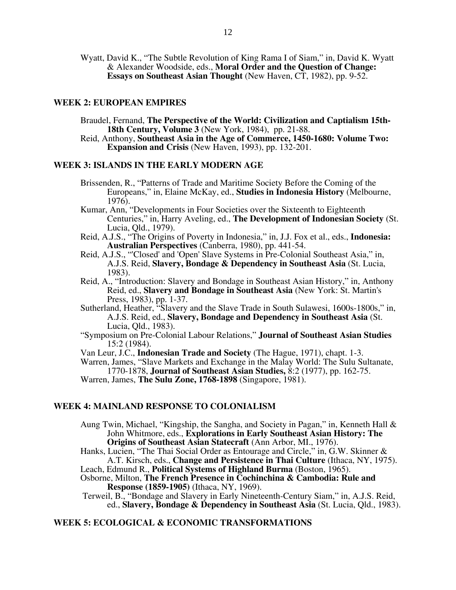Wyatt, David K., "The Subtle Revolution of King Rama I of Siam," in, David K. Wyatt & Alexander Woodside, eds., **Moral Order and the Question of Change: Essays on Southeast Asian Thought** (New Haven, CT, 1982), pp. 9-52.

# **WEEK 2: EUROPEAN EMPIRES**

- Braudel, Fernand, **The Perspective of the World: Civilization and Captialism 15th-18th Century, Volume 3** (New York, 1984), pp. 21-88.
- Reid, Anthony, **Southeast Asia in the Age of Commerce, 1450-1680: Volume Two: Expansion and Crisis** (New Haven, 1993), pp. 132-201.

#### **WEEK 3: ISLANDS IN THE EARLY MODERN AGE**

- Brissenden, R., "Patterns of Trade and Maritime Society Before the Coming of the Europeans," in, Elaine McKay, ed., **Studies in Indonesia History** (Melbourne, 1976).
- Kumar, Ann, "Developments in Four Societies over the Sixteenth to Eighteenth Centuries," in, Harry Aveling, ed., **The Development of Indonesian Society** (St. Lucia, Qld., 1979).
- Reid, A.J.S., "The Origins of Poverty in Indonesia," in, J.J. Fox et al., eds., **Indonesia: Australian Perspectives** (Canberra, 1980), pp. 441-54.
- Reid, A.J.S., "'Closed' and 'Open' Slave Systems in Pre-Colonial Southeast Asia," in, A.J.S. Reid, **Slavery, Bondage & Dependency in Southeast Asia** (St. Lucia, 1983).
- Reid, A., "Introduction: Slavery and Bondage in Southeast Asian History," in, Anthony Reid, ed., **Slavery and Bondage in Southeast Asia** (New York: St. Martin's Press, 1983), pp. 1-37.
- Sutherland, Heather, "Slavery and the Slave Trade in South Sulawesi, 1600s-1800s," in, A.J.S. Reid, ed., **Slavery, Bondage and Dependency in Southeast Asia** (St. Lucia, Qld., 1983).
- "Symposium on Pre-Colonial Labour Relations," **Journal of Southeast Asian Studies** 15:2 (1984).
- Van Leur, J.C., **Indonesian Trade and Society** (The Hague, 1971), chapt. 1-3.
- Warren, James, "Slave Markets and Exchange in the Malay World: The Sulu Sultanate, 1770-1878, **Journal of Southeast Asian Studies,** 8:2 (1977), pp. 162-75.

Warren, James, **The Sulu Zone, 1768-1898** (Singapore, 1981).

# **WEEK 4: MAINLAND RESPONSE TO COLONIALISM**

Aung Twin, Michael, "Kingship, the Sangha, and Society in Pagan," in, Kenneth Hall & John Whitmore, eds., **Explorations in Early Southeast Asian History: The Origins of Southeast Asian Statecraft** (Ann Arbor, MI., 1976).

Hanks, Lucien, "The Thai Social Order as Entourage and Circle," in, G.W. Skinner & A.T. Kirsch, eds., **Change and Persistence in Thai Culture** (Ithaca, NY, 1975).

Leach, Edmund R., **Political Systems of Highland Burma** (Boston, 1965).

Osborne, Milton, **The French Presence in Cochinchina & Cambodia: Rule and Response (1859-1905)** (Ithaca, NY, 1969).

 Terweil, B., "Bondage and Slavery in Early Nineteenth-Century Siam," in, A.J.S. Reid, ed., **Slavery, Bondage & Dependency in Southeast Asia** (St. Lucia, Qld., 1983).

# **WEEK 5: ECOLOGICAL & ECONOMIC TRANSFORMATIONS**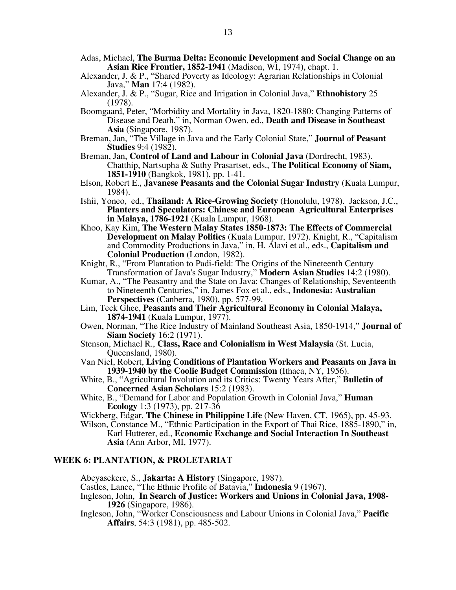- Adas, Michael, **The Burma Delta: Economic Development and Social Change on an Asian Rice Frontier, 1852-1941** (Madison, WI, 1974), chapt. 1.
- Alexander, J. & P., "Shared Poverty as Ideology: Agrarian Relationships in Colonial Java," **Man** 17:4 (1982).
- Alexander, J. & P., "Sugar, Rice and Irrigation in Colonial Java," **Ethnohistory** 25 (1978).
- Boomgaard, Peter, "Morbidity and Mortality in Java, 1820-1880: Changing Patterns of Disease and Death," in, Norman Owen, ed., **Death and Disease in Southeast Asia** (Singapore, 1987).
- Breman, Jan, "The Village in Java and the Early Colonial State," **Journal of Peasant Studies** 9:4 (1982).
- Breman, Jan, **Control of Land and Labour in Colonial Java** (Dordrecht, 1983). Chatthip, Nartsupha & Suthy Prasartset, eds., **The Political Economy of Siam, 1851-1910** (Bangkok, 1981), pp. 1-41.
- Elson, Robert E., **Javanese Peasants and the Colonial Sugar Industry** (Kuala Lumpur, 1984).
- Ishii, Yoneo, ed., **Thailand: A Rice-Growing Society** (Honolulu, 1978). Jackson, J.C., **Planters and Speculators: Chinese and European Agricultural Enterprises in Malaya, 1786-1921** (Kuala Lumpur, 1968).
- Khoo, Kay Kim, **The Western Malay States 1850-1873: The Effects of Commercial Development on Malay Politics** (Kuala Lumpur, 1972). Knight, R., "Capitalism and Commodity Productions in Java," in, H. Alavi et al., eds., **Capitalism and Colonial Production** (London, 1982).
- Knight, R., "From Plantation to Padi-field: The Origins of the Nineteenth Century Transformation of Java's Sugar Industry," **Modern Asian Studies** 14:2 (1980).
- Kumar, A., "The Peasantry and the State on Java: Changes of Relationship, Seventeenth to Nineteenth Centuries," in, James Fox et al., eds., **Indonesia: Australian Perspectives** (Canberra, 1980), pp. 577-99.
- Lim, Teck Ghee, **Peasants and Their Agricultural Economy in Colonial Malaya, 1874-1941** (Kuala Lumpur, 1977).
- Owen, Norman, "The Rice Industry of Mainland Southeast Asia, 1850-1914," **Journal of Siam Society** 16:2 (1971).
- Stenson, Michael R., **Class, Race and Colonialism in West Malaysia** (St. Lucia, Queensland, 1980).
- Van Niel, Robert, **Living Conditions of Plantation Workers and Peasants on Java in 1939-1940 by the Coolie Budget Commission** (Ithaca, NY, 1956).
- White, B., "Agricultural Involution and its Critics: Twenty Years After," **Bulletin of Concerned Asian Scholars** 15:2 (1983).
- White, B., "Demand for Labor and Population Growth in Colonial Java," **Human Ecology** 1:3 (1973), pp. 217-36
- Wickberg, Edgar, **The Chinese in Philippine Life** (New Haven, CT, 1965), pp. 45-93.

Wilson, Constance M., "Ethnic Participation in the Export of Thai Rice, 1885-1890," in, Karl Hutterer, ed., **Economic Exchange and Social Interaction In Southeast Asia** (Ann Arbor, MI, 1977).

# **WEEK 6: PLANTATION, & PROLETARIAT**

Abeyasekere, S., **Jakarta: A History** (Singapore, 1987).

- Castles, Lance, "The Ethnic Profile of Batavia," **Indonesia** 9 (1967).
- Ingleson, John, **In Search of Justice: Workers and Unions in Colonial Java, 1908- 1926** (Singapore, 1986).
- Ingleson, John, "Worker Consciousness and Labour Unions in Colonial Java," **Pacific Affairs**, 54:3 (1981), pp. 485-502.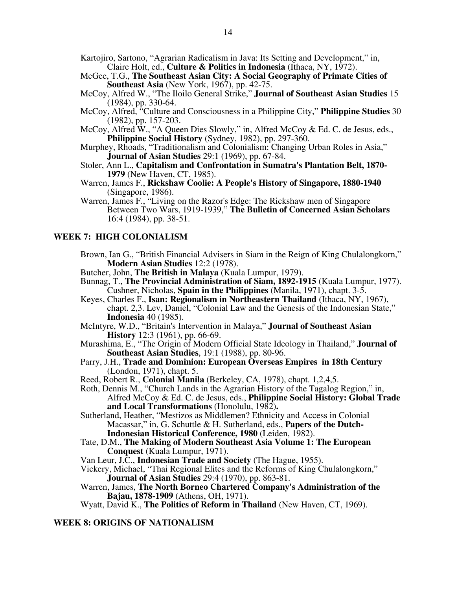- Kartojiro, Sartono, "Agrarian Radicalism in Java: Its Setting and Development," in, Claire Holt, ed., **Culture & Politics in Indonesia** (Ithaca, NY, 1972).
- McGee, T.G., **The Southeast Asian City: A Social Geography of Primate Cities of Southeast Asia** (New York, 1967), pp. 42-75.
- McCoy, Alfred W., "The Iloilo General Strike," **Journal of Southeast Asian Studies** 15 (1984), pp. 330-64.
- McCoy, Alfred, "Culture and Consciousness in a Philippine City," **Philippine Studies** 30 (1982), pp. 157-203.
- McCoy, Alfred W., "A Queen Dies Slowly," in, Alfred McCoy & Ed. C. de Jesus, eds., **Philippine Social History** (Sydney, 1982), pp. 297-360.
- Murphey, Rhoads, "Traditionalism and Colonialism: Changing Urban Roles in Asia," **Journal of Asian Studies** 29:1 (1969), pp. 67-84.
- Stoler, Ann L., **Capitalism and Confrontation in Sumatra's Plantation Belt, 1870- 1979** (New Haven, CT, 1985).
- Warren, James F., **Rickshaw Coolie: A People's History of Singapore, 1880-1940**  (Singapore, 1986).
- Warren, James F., "Living on the Razor's Edge: The Rickshaw men of Singapore Between Two Wars, 1919-1939," **The Bulletin of Concerned Asian Scholars** 16:4 (1984), pp. 38-51.

# **WEEK 7: HIGH COLONIALISM**

- Brown, Ian G., "British Financial Advisers in Siam in the Reign of King Chulalongkorn," **Modern Asian Studies** 12:2 (1978).
- Butcher, John, **The British in Malaya** (Kuala Lumpur, 1979).
- Bunnag, T., **The Provincial Administration of Siam, 1892-1915** (Kuala Lumpur, 1977). Cushner, Nicholas, **Spain in the Philippines** (Manila, 1971), chapt. 3-5.
- Keyes, Charles F., **Isan: Regionalism in Northeastern Thailand** (Ithaca, NY, 1967), chapt. 2,3. Lev, Daniel, "Colonial Law and the Genesis of the Indonesian State," **Indonesia** 40 (1985).
- McIntyre, W.D., "Britain's Intervention in Malaya," **Journal of Southeast Asian History** 12:3 (1961), pp. 66-69.
- Murashima, E., "The Origin of Modern Official State Ideology in Thailand," **Journal of Southeast Asian Studies**, 19:1 (1988), pp. 80-96.
- Parry, J.H., **Trade and Dominion: European Overseas Empires in 18th Century** (London, 1971), chapt. 5.
- Reed, Robert R., **Colonial Manila** (Berkeley, CA, 1978), chapt. 1,2,4,5.
- Roth, Dennis M., "Church Lands in the Agrarian History of the Tagalog Region," in, Alfred McCoy & Ed. C. de Jesus, eds., **Philippine Social History: Global Trade and Local Transformations** (Honolulu, 1982)**.**
- Sutherland, Heather, "Mestizos as Middlemen? Ethnicity and Access in Colonial Macassar," in, G. Schuttle & H. Sutherland, eds., **Papers of the Dutch-Indonesian Historical Conference, 1980** (Leiden, 1982).
- Tate, D.M., **The Making of Modern Southeast Asia Volume 1: The European Conquest** (Kuala Lumpur, 1971).
- Van Leur, J.C., **Indonesian Trade and Society** (The Hague, 1955).
- Vickery, Michael, "Thai Regional Elites and the Reforms of King Chulalongkorn," **Journal of Asian Studies** 29:4 (1970), pp. 863-81.
- Warren, James, **The North Borneo Chartered Company's Administration of the Bajau, 1878-1909** (Athens, OH, 1971).

Wyatt, David K., **The Politics of Reform in Thailand** (New Haven, CT, 1969).

#### **WEEK 8: ORIGINS OF NATIONALISM**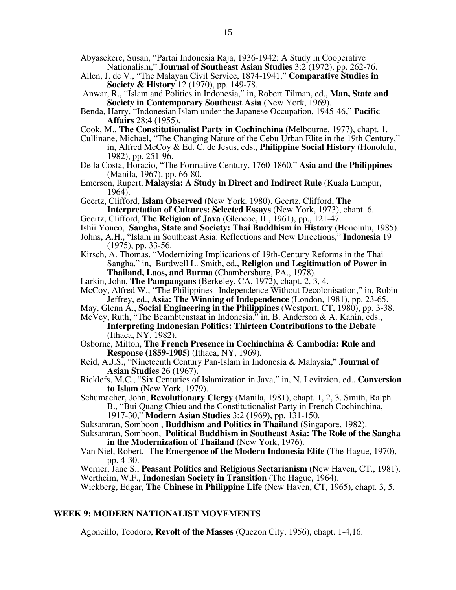- Abyasekere, Susan, "Partai Indonesia Raja, 1936-1942: A Study in Cooperative Nationalism," **Journal of Southeast Asian Studies** 3:2 (1972), pp. 262-76.
- Allen, J. de V., "The Malayan Civil Service, 1874-1941," **Comparative Studies in Society & History** 12 (1970), pp. 149-78.
- Anwar, R., "Islam and Politics in Indonesia," in, Robert Tilman, ed., **Man, State and Society in Contemporary Southeast Asia** (New York, 1969).
- Benda, Harry, "Indonesian Islam under the Japanese Occupation, 1945-46," **Pacific Affairs** 28:4 (1955).
- Cook, M., **The Constitutionalist Party in Cochinchina** (Melbourne, 1977), chapt. 1.
- Cullinane, Michael, "The Changing Nature of the Cebu Urban Elite in the 19th Century," in, Alfred McCoy & Ed. C. de Jesus, eds., **Philippine Social History** (Honolulu, 1982), pp. 251-96.
- De la Costa, Horacio, "The Formative Century, 1760-1860," **Asia and the Philippines**  (Manila, 1967), pp. 66-80.
- Emerson, Rupert, **Malaysia: A Study in Direct and Indirect Rule** (Kuala Lumpur, 1964).
- Geertz, Clifford, **Islam Observed** (New York, 1980). Geertz, Clifford, **The Interpretation of Cultures: Selected Essays** (New York, 1973), chapt. 6.
- Geertz, Clifford, **The Religion of Java** (Glencoe, IL, 1961), pp., 121-47.
- Ishii Yoneo, **Sangha, State and Society: Thai Buddhism in History** (Honolulu, 1985).
- Johns, A.H., "Islam in Southeast Asia: Reflections and New Directions," **Indonesia** 19 (1975), pp. 33-56.
- Kirsch, A. Thomas, "Modernizing Implications of 19th-Century Reforms in the Thai Sangha," in, Bardwell L. Smith, ed., **Religion and Legitimation of Power in Thailand, Laos, and Burma** (Chambersburg, PA., 1978).
- Larkin, John, **The Pampangans** (Berkeley, CA, 1972), chapt. 2, 3, 4.
- McCoy, Alfred W., "The Philippines--Independence Without Decolonisation," in, Robin Jeffrey, ed., **Asia: The Winning of Independence** (London, 1981), pp. 23-65.
- May, Glenn A., **Social Engineering in the Philippines** (Westport, CT, 1980), pp. 3-38. McVey, Ruth, "The Beambtenstaat in Indonesia," in, B. Anderson & A. Kahin, eds.,
	- **Interpreting Indonesian Politics: Thirteen Contributions to the Debate**  (Ithaca, NY, 1982).
- Osborne, Milton, **The French Presence in Cochinchina & Cambodia: Rule and Response (1859-1905)** (Ithaca, NY, 1969).
- Reid, A.J.S., "Nineteenth Century Pan-Islam in Indonesia & Malaysia," **Journal of Asian Studies** 26 (1967).
- Ricklefs, M.C., "Six Centuries of Islamization in Java," in, N. Levitzion, ed., **Conversion to Islam** (New York, 1979).
- Schumacher, John, **Revolutionary Clergy** (Manila, 1981), chapt. 1, 2, 3. Smith, Ralph B., "Bui Quang Chieu and the Constitutionalist Party in French Cochinchina,
	- 1917-30," **Modern Asian Studies** 3:2 (1969), pp. 131-150.
- Suksamran, Somboon , **Buddhism and Politics in Thailand** (Singapore, 1982). Suksamran, Somboon, **Political Buddhism in Southeast Asia: The Role of the Sangha** 
	- **in the Modernization of Thailand** (New York, 1976).
- Van Niel, Robert, **The Emergence of the Modern Indonesia Elite** (The Hague, 1970), pp. 4-30.

Werner, Jane S., **Peasant Politics and Religious Sectarianism** (New Haven, CT., 1981). Wertheim, W.F., **Indonesian Society in Transition** (The Hague, 1964).

Wickberg, Edgar, **The Chinese in Philippine Life** (New Haven, CT, 1965), chapt. 3, 5.

#### **WEEK 9: MODERN NATIONALIST MOVEMENTS**

Agoncillo, Teodoro, **Revolt of the Masses** (Quezon City, 1956), chapt. 1-4,16.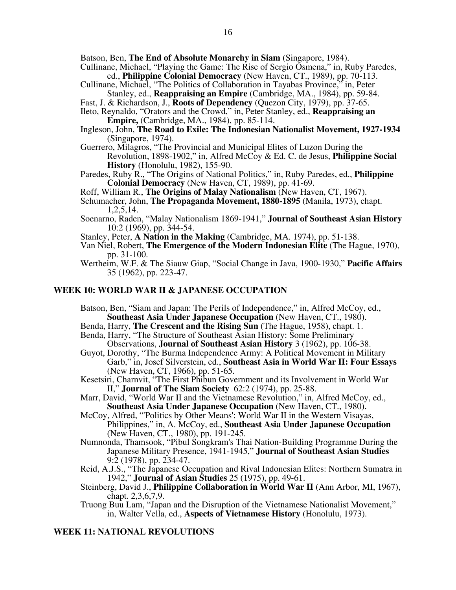Batson, Ben, **The End of Absolute Monarchy in Siam** (Singapore, 1984).

- Cullinane, Michael, "Playing the Game: The Rise of Sergio Osmena," in, Ruby Paredes, ed., **Philippine Colonial Democracy** (New Haven, CT., 1989), pp. 70-113.
- Cullinane, Michael, "The Politics of Collaboration in Tayabas Province," in, Peter Stanley, ed., **Reappraising an Empire** (Cambridge, MA., 1984), pp. 59-84.
- Fast, J. & Richardson, J., **Roots of Dependency** (Quezon City, 1979), pp. 37-65.
- Ileto, Reynaldo, "Orators and the Crowd," in, Peter Stanley, ed., **Reappraising an Empire,** (Cambridge, MA., 1984), pp. 85-114.
- Ingleson, John, **The Road to Exile: The Indonesian Nationalist Movement, 1927-1934**  (Singapore, 1974).
- Guerrero, Milagros, "The Provincial and Municipal Elites of Luzon During the Revolution, 1898-1902," in, Alfred McCoy & Ed. C. de Jesus, **Philippine Social History** (Honolulu, 1982), 155-90.
- Paredes, Ruby R., "The Origins of National Politics," in, Ruby Paredes, ed., **Philippine Colonial Democracy** (New Haven, CT, 1989), pp. 41-69.
- Roff, William R., **The Origins of Malay Nationalism** (New Haven, CT, 1967).
- Schumacher, John, **The Propaganda Movement, 1880-1895** (Manila, 1973), chapt. 1,2,5,14.
- Soenarno, Raden, "Malay Nationalism 1869-1941," **Journal of Southeast Asian History** 10:2 (1969), pp. 344-54.
- Stanley, Peter, **A Nation in the Making** (Cambridge, MA. 1974), pp. 51-138.
- Van Niel, Robert, **The Emergence of the Modern Indonesian Elite** (The Hague, 1970), pp. 31-100.
- Wertheim, W.F. & The Siauw Giap, "Social Change in Java, 1900-1930," **Pacific Affairs**  35 (1962), pp. 223-47.

#### **WEEK 10: WORLD WAR II & JAPANESE OCCUPATION**

- Batson, Ben, "Siam and Japan: The Perils of Independence," in, Alfred McCoy, ed., **Southeast Asia Under Japanese Occupation** (New Haven, CT., 1980).
- Benda, Harry, **The Crescent and the Rising Sun** (The Hague, 1958), chapt. 1.
- Benda, Harry, "The Structure of Southeast Asian History: Some Preliminary Observations, **Journal of Southeast Asian History** 3 (1962), pp. 106-38.
- Guyot, Dorothy, "The Burma Independence Army: A Political Movement in Military Garb," in, Josef Silverstein, ed., **Southeast Asia in World War II: Four Essays**  (New Haven, CT, 1966), pp. 51-65.
- Kesetsiri, Charnvit, "The First Phibun Government and its Involvement in World War II," **Journal of The Siam Society** 62:2 (1974), pp. 25-88.
- Marr, David, "World War II and the Vietnamese Revolution," in, Alfred McCoy, ed., **Southeast Asia Under Japanese Occupation** (New Haven, CT., 1980).
- McCoy, Alfred, "'Politics by Other Means': World War II in the Western Visayas, Philippines," in, A. McCoy, ed., **Southeast Asia Under Japanese Occupation**  (New Haven, CT., 1980), pp. 191-245.
- Numnonda, Thamsook, "Pibul Songkram's Thai Nation-Building Programme During the Japanese Military Presence, 1941-1945," **Journal of Southeast Asian Studies** 9:2 (1978), pp. 234-47.
- Reid, A.J.S., "The Japanese Occupation and Rival Indonesian Elites: Northern Sumatra in 1942," **Journal of Asian Studies** 25 (1975), pp. 49-61.
- Steinberg, David J., **Philippine Collaboration in World War II** (Ann Arbor, MI, 1967), chapt. 2,3,6,7,9.
- Truong Buu Lam, "Japan and the Disruption of the Vietnamese Nationalist Movement," in, Walter Vella, ed., **Aspects of Vietnamese History** (Honolulu, 1973).

#### **WEEK 11: NATIONAL REVOLUTIONS**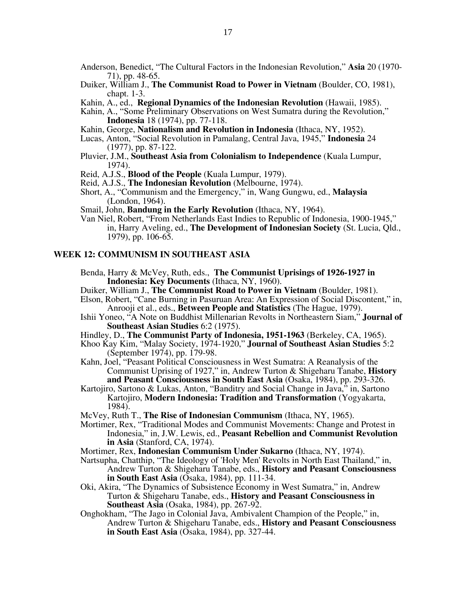- Anderson, Benedict, "The Cultural Factors in the Indonesian Revolution," **Asia** 20 (1970- 71), pp. 48-65.
- Duiker, William J., **The Communist Road to Power in Vietnam** (Boulder, CO, 1981), chapt. 1-3.
- Kahin, A., ed., **Regional Dynamics of the Indonesian Revolution** (Hawaii, 1985).
- Kahin, A., "Some Preliminary Observations on West Sumatra during the Revolution," **Indonesia** 18 (1974), pp. 77-118.
- Kahin, George, **Nationalism and Revolution in Indonesia** (Ithaca, NY, 1952).
- Lucas, Anton, "Social Revolution in Pamalang, Central Java, 1945," **Indonesia** 24 (1977), pp. 87-122.
- Pluvier, J.M., **Southeast Asia from Colonialism to Independence** (Kuala Lumpur, 1974).
- Reid, A.J.S., **Blood of the People** (Kuala Lumpur, 1979).
- Reid, A.J.S., **The Indonesian Revolution** (Melbourne, 1974).
- Short, A., "Communism and the Emergency," in, Wang Gungwu, ed., **Malaysia**  (London, 1964).
- Smail, John, **Bandung in the Early Revolution** (Ithaca, NY, 1964).
- Van Niel, Robert, "From Netherlands East Indies to Republic of Indonesia, 1900-1945," in, Harry Aveling, ed., **The Development of Indonesian Society** (St. Lucia, Qld., 1979), pp. 106-65.

#### **WEEK 12: COMMUNISM IN SOUTHEAST ASIA**

- Benda, Harry & McVey, Ruth, eds., **The Communist Uprisings of 1926-1927 in Indonesia: Key Documents** (Ithaca, NY, 1960).
- Duiker, William J., **The Communist Road to Power in Vietnam** (Boulder, 1981). Elson, Robert, "Cane Burning in Pasuruan Area: An Expression of Social Discontent," in,
	- Anrooji et al., eds., **Between People and Statistics** (The Hague, 1979).
- Ishii Yoneo, "A Note on Buddhist Millenarian Revolts in Northeastern Siam," **Journal of Southeast Asian Studies** 6:2 (1975).
- Hindley, D., **The Communist Party of Indonesia, 1951-1963** (Berkeley, CA, 1965).
- Khoo Kay Kim, "Malay Society, 1974-1920," **Journal of Southeast Asian Studies** 5:2 (September 1974), pp. 179-98.
- Kahn, Joel, "Peasant Political Consciousness in West Sumatra: A Reanalysis of the Communist Uprising of 1927," in, Andrew Turton & Shigeharu Tanabe, **History and Peasant Consciousness in South East Asia** (Osaka, 1984), pp. 293-326.
- Kartojiro, Sartono & Lukas, Anton, "Banditry and Social Change in Java," in, Sartono Kartojiro, **Modern Indonesia: Tradition and Transformation** (Yogyakarta, 1984).
- McVey, Ruth T., **The Rise of Indonesian Communism** (Ithaca, NY, 1965).
- Mortimer, Rex, "Traditional Modes and Communist Movements: Change and Protest in Indonesia," in, J.W. Lewis, ed., **Peasant Rebellion and Communist Revolution in Asia** (Stanford, CA, 1974).
- Mortimer, Rex, **Indonesian Communism Under Sukarno** (Ithaca, NY, 1974).
- Nartsupha, Chatthip, "The Ideology of 'Holy Men' Revolts in North East Thailand," in, Andrew Turton & Shigeharu Tanabe, eds., **History and Peasant Consciousness in South East Asia** (Osaka, 1984), pp. 111-34.
- Oki, Akira, "The Dynamics of Subsistence Economy in West Sumatra," in, Andrew Turton & Shigeharu Tanabe, eds., **History and Peasant Consciousness in Southeast Asia** (Osaka, 1984), pp. 267-92.
- Onghokham, "The Jago in Colonial Java, Ambivalent Champion of the People," in, Andrew Turton & Shigeharu Tanabe, eds., **History and Peasant Consciousness in South East Asia** (Osaka, 1984), pp. 327-44.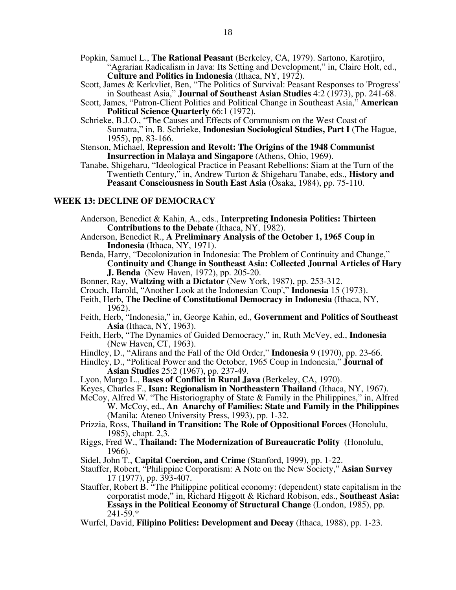- Popkin, Samuel L., **The Rational Peasant** (Berkeley, CA, 1979). Sartono, Karotjiro, "Agrarian Radicalism in Java: Its Setting and Development," in, Claire Holt, ed., **Culture and Politics in Indonesia** (Ithaca, NY, 1972).
- Scott, James & Kerkvliet, Ben, "The Politics of Survival: Peasant Responses to 'Progress' in Southeast Asia," **Journal of Southeast Asian Studies** 4:2 (1973), pp. 241-68.
- Scott, James, "Patron-Client Politics and Political Change in Southeast Asia," **American Political Science Quarterly** 66:1 (1972).
- Schrieke, B.J.O., "The Causes and Effects of Communism on the West Coast of Sumatra," in, B. Schrieke, **Indonesian Sociological Studies, Part I** (The Hague, 1955), pp. 83-166.
- Stenson, Michael, **Repression and Revolt: The Origins of the 1948 Communist Insurrection in Malaya and Singapore** (Athens, Ohio, 1969).
- Tanabe, Shigeharu, "Ideological Practice in Peasant Rebellions: Siam at the Turn of the Twentieth Century," in, Andrew Turton & Shigeharu Tanabe, eds., **History and Peasant Consciousness in South East Asia** (Osaka, 1984), pp. 75-110.

#### **WEEK 13: DECLINE OF DEMOCRACY**

- Anderson, Benedict & Kahin, A., eds., **Interpreting Indonesia Politics: Thirteen Contributions to the Debate** (Ithaca, NY, 1982).
- Anderson, Benedict R., **A Preliminary Analysis of the October 1, 1965 Coup in Indonesia** (Ithaca, NY, 1971).
- Benda, Harry, "Decolonization in Indonesia: The Problem of Continuity and Change," **Continuity and Change in Southeast Asia: Collected Journal Articles of Hary J. Benda** (New Haven, 1972), pp. 205-20.
- Bonner, Ray, **Waltzing with a Dictator** (New York, 1987), pp. 253-312.
- Crouch, Harold, "Another Look at the Indonesian 'Coup'," **Indonesia** 15 (1973).
- Feith, Herb, **The Decline of Constitutional Democracy in Indonesia** (Ithaca, NY, 1962).
- Feith, Herb, "Indonesia," in, George Kahin, ed., **Government and Politics of Southeast Asia** (Ithaca, NY, 1963).
- Feith, Herb, "The Dynamics of Guided Democracy," in, Ruth McVey, ed., **Indonesia**  (New Haven, CT, 1963).
- Hindley, D., "Alirans and the Fall of the Old Order," **Indonesia** 9 (1970), pp. 23-66.
- Hindley, D., "Political Power and the October, 1965 Coup in Indonesia," **Journal of Asian Studies** 25:2 (1967), pp. 237-49.
- Lyon, Margo L., **Bases of Conflict in Rural Java** (Berkeley, CA, 1970).
- Keyes, Charles F., **Isan: Regionalism in Northeastern Thailand** (Ithaca, NY, 1967).
- McCoy, Alfred W. "The Historiography of State & Family in the Philippines," in, Alfred W. McCoy, ed., **An Anarchy of Families: State and Family in the Philippines**  (Manila: Ateneo University Press, 1993), pp. 1-32.
- Prizzia, Ross, **Thailand in Transition: The Role of Oppositional Forces** (Honolulu, 1985), chapt. 2,3.
- Riggs, Fred W., **Thailand: The Modernization of Bureaucratic Polity** (Honolulu, 1966).
- Sidel, John T., **Capital Coercion, and Crime** (Stanford, 1999), pp. 1-22.
- Stauffer, Robert, "Philippine Corporatism: A Note on the New Society," **Asian Survey** 17 (1977), pp. 393-407.
- Stauffer, Robert B. "The Philippine political economy: (dependent) state capitalism in the corporatist mode," in, Richard Higgott & Richard Robison, eds., **Southeast Asia: Essays in the Political Economy of Structural Change** (London, 1985), pp.  $241 - 59.*$
- Wurfel, David, **Filipino Politics: Development and Decay** (Ithaca, 1988), pp. 1-23.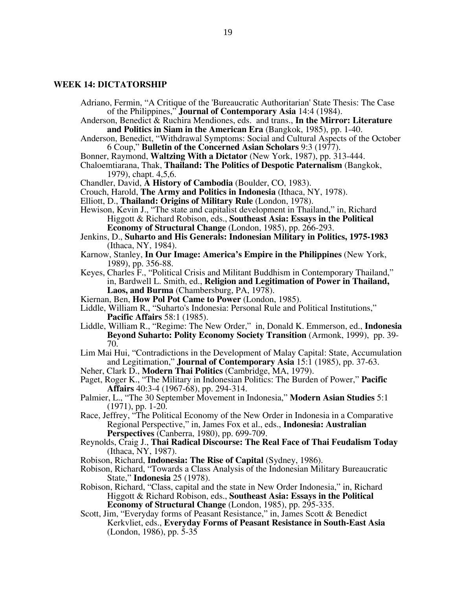#### **WEEK 14: DICTATORSHIP**

- Adriano, Fermin, "A Critique of the 'Bureaucratic Authoritarian' State Thesis: The Case of the Philippines," **Journal of Contemporary Asia** 14:4 (1984).
- Anderson, Benedict & Ruchira Mendiones, eds. and trans., **In the Mirror: Literature and Politics in Siam in the American Era** (Bangkok, 1985), pp. 1-40.
- Anderson, Benedict, "Withdrawal Symptoms: Social and Cultural Aspects of the October 6 Coup," **Bulletin of the Concerned Asian Scholars** 9:3 (1977).
- Bonner, Raymond, **Waltzing With a Dictator** (New York, 1987), pp. 313-444.
- Chaloemtiarana, Thak, **Thailand: The Politics of Despotic Paternalism** (Bangkok, 1979), chapt. 4,5,6.
- Chandler, David, **A History of Cambodia** (Boulder, CO, 1983).
- Crouch, Harold, **The Army and Politics in Indonesia** (Ithaca, NY, 1978).
- Elliott, D., **Thailand: Origins of Military Rule** (London, 1978).
- Hewison, Kevin J., "The state and capitalist development in Thailand," in, Richard Higgott & Richard Robison, eds., **Southeast Asia: Essays in the Political Economy of Structural Change** (London, 1985), pp. 266-293.
- Jenkins, D., **Suharto and His Generals: Indonesian Military in Politics, 1975-1983**  (Ithaca, NY, 1984).
- Karnow, Stanley, **In Our Image: America's Empire in the Philippines** (New York, 1989), pp. 356-88.
- Keyes, Charles F., "Political Crisis and Militant Buddhism in Contemporary Thailand," in, Bardwell L. Smith, ed., **Religion and Legitimation of Power in Thailand, Laos, and Burma** (Chambersburg, PA, 1978).
- Kiernan, Ben, **How Pol Pot Came to Power** (London, 1985).
- Liddle, William R., "Suharto's Indonesia: Personal Rule and Political Institutions," **Pacific Affairs** 58:1 (1985).
- Liddle, William R., "Regime: The New Order," in, Donald K. Emmerson, ed., **Indonesia Beyond Suharto: Polity Economy Society Transition** (Armonk, 1999), pp. 39- 70.
- Lim Mai Hui, "Contradictions in the Development of Malay Capital: State, Accumulation and Legitimation," **Journal of Contemporary Asia** 15:1 (1985), pp. 37-63.
- Neher, Clark D., **Modern Thai Politics** (Cambridge, MA, 1979).
- Paget, Roger K., "The Military in Indonesian Politics: The Burden of Power," **Pacific Affairs** 40:3-4 (1967-68), pp. 294-314.
- Palmier, L., "The 30 September Movement in Indonesia," **Modern Asian Studies** 5:1 (1971), pp. 1-20.
- Race, Jeffrey, "The Political Economy of the New Order in Indonesia in a Comparative Regional Perspective," in, James Fox et al., eds., **Indonesia: Australian Perspectives** (Canberra, 1980), pp. 699-709.
- Reynolds, Craig J., **Thai Radical Discourse: The Real Face of Thai Feudalism Today**  (Ithaca, NY, 1987).
- Robison, Richard, **Indonesia: The Rise of Capital** (Sydney, 1986).
- Robison, Richard, "Towards a Class Analysis of the Indonesian Military Bureaucratic State," **Indonesia** 25 (1978).
- Robison, Richard, "Class, capital and the state in New Order Indonesia," in, Richard Higgott & Richard Robison, eds., **Southeast Asia: Essays in the Political Economy of Structural Change** (London, 1985), pp. 295-335.
- Scott, Jim, "Everyday forms of Peasant Resistance," in, James Scott & Benedict Kerkvliet, eds., **Everyday Forms of Peasant Resistance in South-East Asia**  (London, 1986), pp. 5-35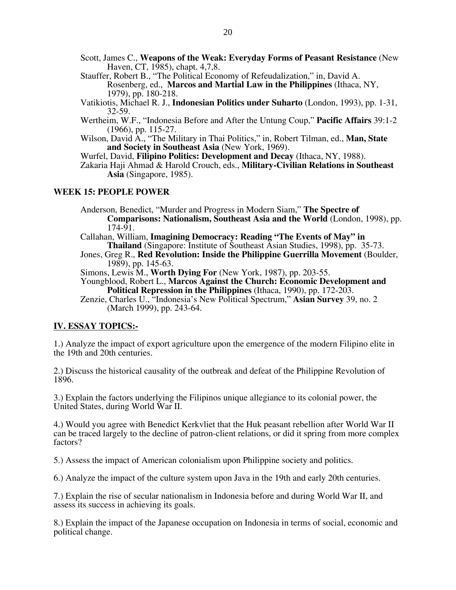- Scott, James C., **Weapons of the Weak: Everyday Forms of Peasant Resistance** (New Haven, CT, 1985), chapt. 4,7,8.
- Stauffer, Robert B., "The Political Economy of Refeudalization," in, David A. Rosenberg, ed., **Marcos and Martial Law in the Philippines** (Ithaca, NY, 1979), pp. 180-218.
- Vatikiotis, Michael R. J., **Indonesian Politics under Suharto** (London, 1993), pp. 1-31, 32-59.
- Wertheim, W.F., "Indonesia Before and After the Untung Coup," **Pacific Affairs** 39:1-2 (1966), pp. 115-27.
- Wilson, David A., "The Military in Thai Politics," in, Robert Tilman, ed., **Man, State and Society in Southeast Asia** (New York, 1969).
- Wurfel, David, **Filipino Politics: Development and Decay** (Ithaca, NY, 1988).
- Zakaria Haji Ahmad & Harold Crouch, eds., **Military-Civilian Relations in Southeast Asia** (Singapore, 1985).

# **WEEK 15: PEOPLE POWER**

Anderson, Benedict, "Murder and Progress in Modern Siam," **The Spectre of Comparisons: Nationalism, Southeast Asia and the World** (London, 1998), pp. 174-91.

- Callahan, William, **Imagining Democracy: Reading "The Events of May" in Thailand** (Singapore: Institute of Southeast Asian Studies, 1998), pp. 35-73.
- Jones, Greg R., **Red Revolution: Inside the Philippine Guerrilla Movement** (Boulder, 1989), pp. 145-63.

Simons, Lewis M., **Worth Dying For** (New York, 1987), pp. 203-55.

Youngblood, Robert L., **Marcos Against the Church: Economic Development and Political Repression in the Philippines** (Ithaca, 1990), pp. 172-203.

Zenzie, Charles U., "Indonesia's New Political Spectrum," **Asian Survey** 39, no. 2 (March 1999), pp. 243-64.

# **IV. ESSAY TOPICS:-**

1.) Analyze the impact of export agriculture upon the emergence of the modern Filipino elite in the 19th and 20th centuries.

2.) Discuss the historical causality of the outbreak and defeat of the Philippine Revolution of 1896.

3.) Explain the factors underlying the Filipinos unique allegiance to its colonial power, the United States, during World War II.

4.) Would you agree with Benedict Kerkvliet that the Huk peasant rebellion after World War II can be traced largely to the decline of patron-client relations, or did it spring from more complex factors?

5.) Assess the impact of American colonialism upon Philippine society and politics.

6.) Analyze the impact of the culture system upon Java in the 19th and early 20th centuries.

7.) Explain the rise of secular nationalism in Indonesia before and during World War II, and assess its success in achieving its goals.

8.) Explain the impact of the Japanese occupation on Indonesia in terms of social, economic and political change.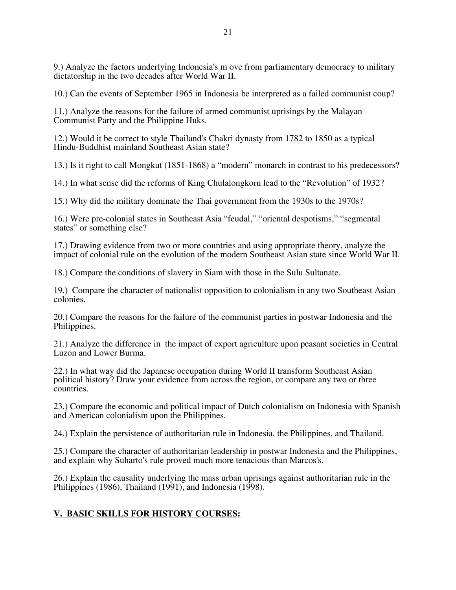9.) Analyze the factors underlying Indonesia's m ove from parliamentary democracy to military dictatorship in the two decades after World War II.

10.) Can the events of September 1965 in Indonesia be interpreted as a failed communist coup?

11.) Analyze the reasons for the failure of armed communist uprisings by the Malayan Communist Party and the Philippine Huks.

12.) Would it be correct to style Thailand's Chakri dynasty from 1782 to 1850 as a typical Hindu-Buddhist mainland Southeast Asian state?

13.) Is it right to call Mongkut (1851-1868) a "modern" monarch in contrast to his predecessors?

14.) In what sense did the reforms of King Chulalongkorn lead to the "Revolution" of 1932?

15.) Why did the military dominate the Thai government from the 1930s to the 1970s?

16.) Were pre-colonial states in Southeast Asia "feudal," "oriental despotisms," "segmental states" or something else?

17.) Drawing evidence from two or more countries and using appropriate theory, analyze the impact of colonial rule on the evolution of the modern Southeast Asian state since World War II.

18.) Compare the conditions of slavery in Siam with those in the Sulu Sultanate.

19.) Compare the character of nationalist opposition to colonialism in any two Southeast Asian colonies.

20.) Compare the reasons for the failure of the communist parties in postwar Indonesia and the Philippines.

21.) Analyze the difference in the impact of export agriculture upon peasant societies in Central Luzon and Lower Burma.

22.) In what way did the Japanese occupation during World II transform Southeast Asian political history? Draw your evidence from across the region, or compare any two or three countries.

23.) Compare the economic and political impact of Dutch colonialism on Indonesia with Spanish and American colonialism upon the Philippines.

24.) Explain the persistence of authoritarian rule in Indonesia, the Philippines, and Thailand.

25.) Compare the character of authoritarian leadership in postwar Indonesia and the Philippines, and explain why Suharto's rule proved much more tenacious than Marcos's.

26.) Explain the causality underlying the mass urban uprisings against authoritarian rule in the Philippines (1986), Thailand (1991), and Indonesia (1998).

# **V. BASIC SKILLS FOR HISTORY COURSES:**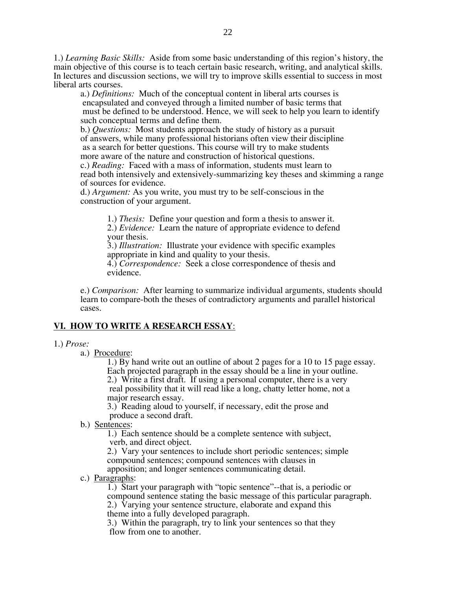1.) *Learning Basic Skills:* Aside from some basic understanding of this region's history, the main objective of this course is to teach certain basic research, writing, and analytical skills. In lectures and discussion sections, we will try to improve skills essential to success in most liberal arts courses.

a.) *Definitions:* Much of the conceptual content in liberal arts courses is encapsulated and conveyed through a limited number of basic terms that must be defined to be understood. Hence, we will seek to help you learn to identify such conceptual terms and define them.

b.) *Questions:* Most students approach the study of history as a pursuit of answers, while many professional historians often view their discipline as a search for better questions. This course will try to make students more aware of the nature and construction of historical questions. c.) *Reading:* Faced with a mass of information, students must learn to read both intensively and extensively-summarizing key theses and skimming a range of sources for evidence.

d.) *Argument:* As you write, you must try to be self-conscious in the construction of your argument.

1.) *Thesis:* Define your question and form a thesis to answer it.

2.) *Evidence:* Learn the nature of appropriate evidence to defend your thesis.

3.) *Illustration:* Illustrate your evidence with specific examples appropriate in kind and quality to your thesis.

4.) *Correspondence:* Seek a close correspondence of thesis and evidence.

e.) *Comparison:* After learning to summarize individual arguments, students should learn to compare-both the theses of contradictory arguments and parallel historical cases.

# **VI. HOW TO WRITE A RESEARCH ESSAY**:

# 1.) *Prose:*

a.) Procedure:

1.) By hand write out an outline of about 2 pages for a 10 to 15 page essay. Each projected paragraph in the essay should be a line in your outline. 2.) Write a first draft. If using a personal computer, there is a very real possibility that it will read like a long, chatty letter home, not a major research essay.

3.) Reading aloud to yourself, if necessary, edit the prose and produce a second draft.

b.) Sentences:

1.) Each sentence should be a complete sentence with subject, verb, and direct object.

2.) Vary your sentences to include short periodic sentences; simple compound sentences; compound sentences with clauses in apposition; and longer sentences communicating detail.

c.) Paragraphs:

1.) Start your paragraph with "topic sentence"--that is, a periodic or compound sentence stating the basic message of this particular paragraph. 2.) Varying your sentence structure, elaborate and expand this theme into a fully developed paragraph.

3.) Within the paragraph, try to link your sentences so that they flow from one to another.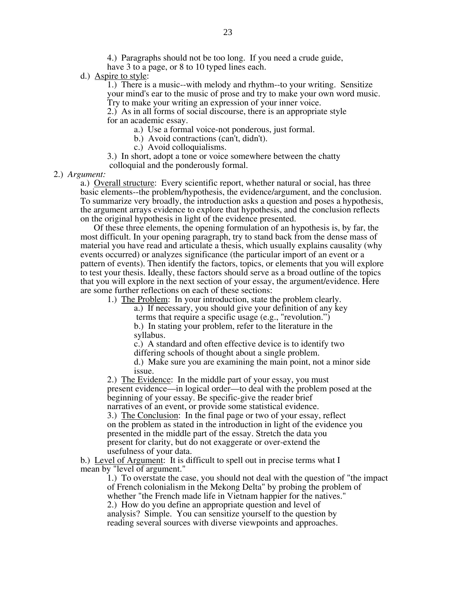4.) Paragraphs should not be too long. If you need a crude guide, have 3 to a page, or 8 to 10 typed lines each.

d.) Aspire to style:

1.) There is a music--with melody and rhythm--to your writing. Sensitize your mind's ear to the music of prose and try to make your own word music.

Try to make your writing an expression of your inner voice.

2.) As in all forms of social discourse, there is an appropriate style for an academic essay.

a.) Use a formal voice-not ponderous, just formal.

b.) Avoid contractions (can't, didn't).

c.) Avoid colloquialisms.

3.) In short, adopt a tone or voice somewhere between the chatty colloquial and the ponderously formal.

2.) *Argument:* 

a.) Overall structure: Every scientific report, whether natural or social, has three basic elements--the problem/hypothesis, the evidence/argument, and the conclusion. To summarize very broadly, the introduction asks a question and poses a hypothesis, the argument arrays evidence to explore that hypothesis, and the conclusion reflects on the original hypothesis in light of the evidence presented.

 Of these three elements, the opening formulation of an hypothesis is, by far, the most difficult. In your opening paragraph, try to stand back from the dense mass of material you have read and articulate a thesis, which usually explains causality (why events occurred) or analyzes significance (the particular import of an event or a pattern of events). Then identify the factors, topics, or elements that you will explore to test your thesis. Ideally, these factors should serve as a broad outline of the topics that you will explore in the next section of your essay, the argument/evidence. Here are some further reflections on each of these sections:

1.) The Problem: In your introduction, state the problem clearly.

a.) If necessary, you should give your definition of any key

terms that require a specific usage (e.g., "revolution.")

b.) In stating your problem, refer to the literature in the syllabus.

c.) A standard and often effective device is to identify two

differing schools of thought about a single problem.

d.) Make sure you are examining the main point, not a minor side issue.

2.) The Evidence: In the middle part of your essay, you must present evidence—in logical order—to deal with the problem posed at the beginning of your essay. Be specific-give the reader brief narratives of an event, or provide some statistical evidence.

3.) The Conclusion: In the final page or two of your essay, reflect on the problem as stated in the introduction in light of the evidence you presented in the middle part of the essay. Stretch the data you present for clarity, but do not exaggerate or over-extend the usefulness of your data.

b.) Level of Argument: It is difficult to spell out in precise terms what I mean by "level of argument."

> 1.) To overstate the case, you should not deal with the question of "the impact of French colonialism in the Mekong Delta" by probing the problem of whether "the French made life in Vietnam happier for the natives." 2.) How do you define an appropriate question and level of analysis? Simple. You can sensitize yourself to the question by reading several sources with diverse viewpoints and approaches.